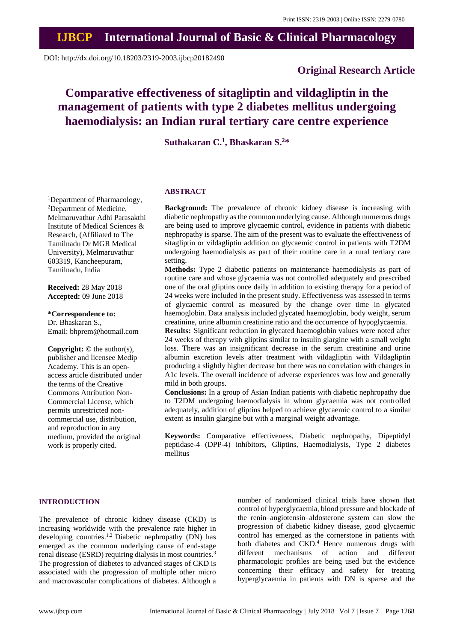# **IJBCP International Journal of Basic & Clinical Pharmacology**

DOI: http://dx.doi.org/10.18203/2319-2003.ijbcp20182490

# **Original Research Article**

# **Comparative effectiveness of sitagliptin and vildagliptin in the management of patients with type 2 diabetes mellitus undergoing haemodialysis: an Indian rural tertiary care centre experience**

**Suthakaran C. 1 , Bhaskaran S. 2\***

## <sup>1</sup>Department of Pharmacology, <sup>2</sup>Department of Medicine, Melmaruvathur Adhi Parasakthi Institute of Medical Sciences & Research, (Affiliated to The Tamilnadu Dr MGR Medical University), Melmaruvathur 603319, Kancheepuram, Tamilnadu, India

**Received:** 28 May 2018 **Accepted:** 09 June 2018

**\*Correspondence to:** Dr. Bhaskaran S., Email: bhprem@hotmail.com

**Copyright:** © the author(s), publisher and licensee Medip Academy. This is an openaccess article distributed under the terms of the Creative Commons Attribution Non-Commercial License, which permits unrestricted noncommercial use, distribution, and reproduction in any medium, provided the original work is properly cited.

# **ABSTRACT**

**Background:** The prevalence of chronic kidney disease is increasing with diabetic nephropathy as the common underlying cause. Although numerous drugs are being used to improve glycaemic control, evidence in patients with diabetic nephropathy is sparse. The aim of the present was to evaluate the effectiveness of sitagliptin or vildagliptin addition on glycaemic control in patients with T2DM undergoing haemodialysis as part of their routine care in a rural tertiary care setting.

**Methods:** Type 2 diabetic patients on maintenance haemodialysis as part of routine care and whose glycaemia was not controlled adequately and prescribed one of the oral gliptins once daily in addition to existing therapy for a period of 24 weeks were included in the present study. Effectiveness was assessed in terms of glycaemic control as measured by the change over time in glycated haemoglobin. Data analysis included glycated haemoglobin, body weight, serum creatinine, urine albumin creatinine ratio and the occurrence of hypoglycaemia.

**Results:** Significant reduction in glycated haemoglobin values were noted after 24 weeks of therapy with gliptins similar to insulin glargine with a small weight loss. There was an insignificant decrease in the serum creatinine and urine albumin excretion levels after treatment with vildagliptin with Vildagliptin producing a slightly higher decrease but there was no correlation with changes in A1c levels. The overall incidence of adverse experiences was low and generally mild in both groups.

**Conclusions:** In a group of Asian Indian patients with diabetic nephropathy due to T2DM undergoing haemodialysis in whom glycaemia was not controlled adequately, addition of gliptins helped to achieve glycaemic control to a similar extent as insulin glargine but with a marginal weight advantage.

**Keywords:** Comparative effectiveness, Diabetic nephropathy, Dipeptidyl peptidase-4 (DPP-4) inhibitors, Gliptins, Haemodialysis, Type 2 diabetes mellitus

# **INTRODUCTION**

The prevalence of chronic kidney disease (CKD) is increasing worldwide with the prevalence rate higher in developing countries. 1,2 Diabetic nephropathy (DN) has emerged as the common underlying cause of end-stage renal disease (ESRD) requiring dialysis in most countries.<sup>3</sup> The progression of diabetes to advanced stages of CKD is associated with the progression of multiple other micro and macrovascular complications of diabetes. Although a number of randomized clinical trials have shown that control of hyperglycaemia, blood pressure and blockade of the renin–angiotensin–aldosterone system can slow the progression of diabetic kidney disease, good glycaemic control has emerged as the cornerstone in patients with both diabetes and CKD. <sup>4</sup> Hence numerous drugs with different mechanisms of action and different pharmacologic profiles are being used but the evidence concerning their efficacy and safety for treating hyperglycaemia in patients with DN is sparse and the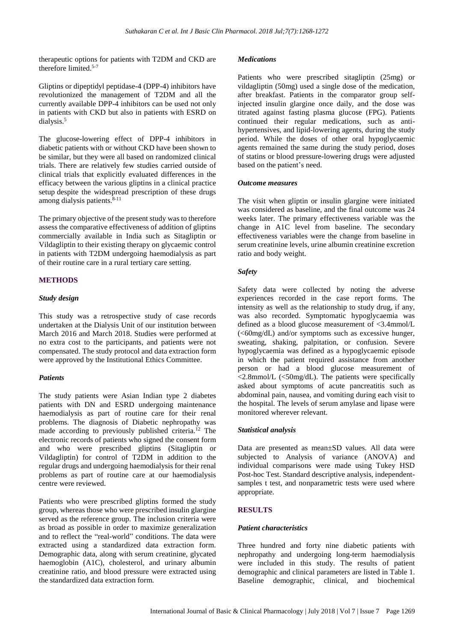therapeutic options for patients with T2DM and CKD are therefore limited. 5-7

Gliptins or dipeptidyl peptidase-4 (DPP-4) inhibitors have revolutionized the management of T2DM and all the currently available DPP-4 inhibitors can be used not only in patients with CKD but also in patients with ESRD on dialysis. 5

The glucose-lowering effect of DPP-4 inhibitors in diabetic patients with or without CKD have been shown to be similar, but they were all based on randomized clinical trials. There are relatively few studies carried outside of clinical trials that explicitly evaluated differences in the efficacy between the various gliptins in a clinical practice setup despite the widespread prescription of these drugs among dialysis patients. $8-11$ 

The primary objective of the present study was to therefore assess the comparative effectiveness of addition of gliptins commercially available in India such as Sitagliptin or Vildagliptin to their existing therapy on glycaemic control in patients with T2DM undergoing haemodialysis as part of their routine care in a rural tertiary care setting.

# **METHODS**

#### *Study design*

This study was a retrospective study of case records undertaken at the Dialysis Unit of our institution between March 2016 and March 2018. Studies were performed at no extra cost to the participants, and patients were not compensated. The study protocol and data extraction form were approved by the Institutional Ethics Committee.

#### *Patients*

The study patients were Asian Indian type 2 diabetes patients with DN and ESRD undergoing maintenance haemodialysis as part of routine care for their renal problems. The diagnosis of Diabetic nephropathy was made according to previously published criteria. <sup>12</sup> The electronic records of patients who signed the consent form and who were prescribed gliptins (Sitagliptin or Vildagliptin) for control of T2DM in addition to the regular drugs and undergoing haemodialysis for their renal problems as part of routine care at our haemodialysis centre were reviewed.

Patients who were prescribed gliptins formed the study group, whereas those who were prescribed insulin glargine served as the reference group. The inclusion criteria were as broad as possible in order to maximize generalization and to reflect the "real-world" conditions. The data were extracted using a standardized data extraction form. Demographic data, along with serum creatinine, glycated haemoglobin (A1C), cholesterol, and urinary albumin creatinine ratio, and blood pressure were extracted using the standardized data extraction form.

#### *Medications*

Patients who were prescribed sitagliptin (25mg) or vildagliptin (50mg) used a single dose of the medication, after breakfast. Patients in the comparator group selfinjected insulin glargine once daily, and the dose was titrated against fasting plasma glucose (FPG). Patients continued their regular medications, such as antihypertensives, and lipid-lowering agents, during the study period. While the doses of other oral hypoglycaemic agents remained the same during the study period, doses of statins or blood pressure-lowering drugs were adjusted based on the patient's need.

#### *Outcome measures*

The visit when gliptin or insulin glargine were initiated was considered as baseline, and the final outcome was 24 weeks later. The primary effectiveness variable was the change in A1C level from baseline. The secondary effectiveness variables were the change from baseline in serum creatinine levels, urine albumin creatinine excretion ratio and body weight.

# *Safety*

Safety data were collected by noting the adverse experiences recorded in the case report forms. The intensity as well as the relationship to study drug, if any, was also recorded. Symptomatic hypoglycaemia was defined as a blood glucose measurement of <3.4mmol/L (<60mg/dL) and/or symptoms such as excessive hunger, sweating, shaking, palpitation, or confusion. Severe hypoglycaemia was defined as a hypoglycaemic episode in which the patient required assistance from another person or had a blood glucose measurement of  $\langle 2.8$ mmol/L ( $\langle 50$ mg/dL). The patients were specifically asked about symptoms of acute pancreatitis such as abdominal pain, nausea, and vomiting during each visit to the hospital. The levels of serum amylase and lipase were monitored wherever relevant.

# *Statistical analysis*

Data are presented as mean±SD values. All data were subjected to Analysis of variance (ANOVA) and individual comparisons were made using Tukey HSD Post-hoc Test. Standard descriptive analysis, independentsamples t test, and nonparametric tests were used where appropriate.

# **RESULTS**

#### *Patient characteristics*

Three hundred and forty nine diabetic patients with nephropathy and undergoing long-term haemodialysis were included in this study. The results of patient demographic and clinical parameters are listed in Table 1. Baseline demographic, clinical, and biochemical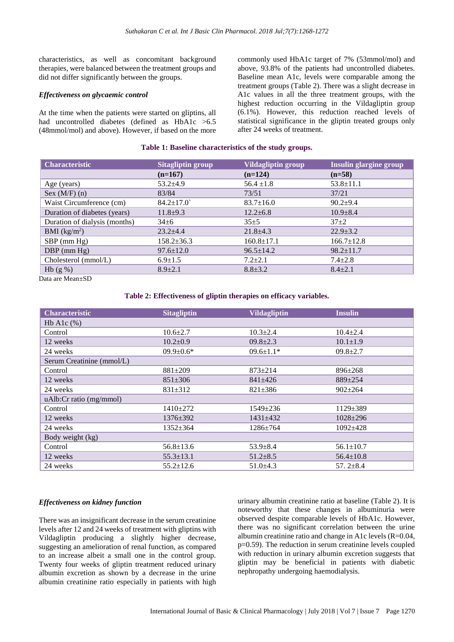characteristics, as well as concomitant background therapies, were balanced between the treatment groups and did not differ significantly between the groups.

#### *Effectiveness on glycaemic control*

At the time when the patients were started on gliptins, all had uncontrolled diabetes (defined as HbA1c >6.5 (48mmol/mol) and above). However, if based on the more commonly used HbA1c target of 7% (53mmol/mol) and above, 93.8% of the patients had uncontrolled diabetes. Baseline mean A1c, levels were comparable among the treatment groups (Table 2). There was a slight decrease in A1c values in all the three treatment groups, with the highest reduction occurring in the Vildagliptin group (6.1%). However, this reduction reached levels of statistical significance in the gliptin treated groups only after 24 weeks of treatment.

## **Table 1: Baseline characteristics of the study groups.**

| <b>Characteristic</b>         | <b>Sitagliptin group</b> | <b>Vildagliptin group</b> | Insulin glargine group |
|-------------------------------|--------------------------|---------------------------|------------------------|
|                               | $(n=167)$                | $(n=124)$                 | $(n=58)$               |
| Age (years)                   | $53.2 \pm 4.9$           | $56.4 \pm 1.8$            | $53.8 \pm 11.1$        |
| Sex $(M/F)$ (n)               | 83/84                    | 73/51                     | 37/21                  |
| Waist Circumference (cm)      | $84.2 \pm 17.0$          | $83.7 \pm 16.0$           | $90.2 \pm 9.4$         |
| Duration of diabetes (years)  | $11.8 \pm 9.3$           | $12.2 \pm 6.8$            | $10.9 \pm 8.4$         |
| Duration of dialysis (months) | $34 \pm 6$               | $35 + 5$                  | $37+2$                 |
| BMI $(kg/m^2)$                | $23.2 \pm 4.4$           | $21.8 \pm 4.3$            | $22.9 \pm 3.2$         |
| $SBP$ (mm $Hg$ )              | $158.2 \pm 36.3$         | $160.8 \pm 17.1$          | $166.7 \pm 12.8$       |
| $DBP$ (mm $Hg$ )              | $97.6 \pm 12.0$          | $96.5 \pm 14.2$           | $98.2 \pm 11.7$        |
| Cholesterol (mmol/L)          | $6.9 \pm 1.5$            | $7.2 \pm 2.1$             | $7.4 + 2.8$            |
| $Hb(g\%)$                     | $8.9 \pm 2.1$            | $8.8 \pm 3.2$             | $8.4 \pm 2.1$          |

Data are Mean±SD

#### **Table 2: Effectiveness of gliptin therapies on efficacy variables.**

| <b>Characteristic</b>     | <b>Sitagliptin</b> | <b>Vildagliptin</b> | <b>Insulin</b>  |
|---------------------------|--------------------|---------------------|-----------------|
| Hb Alc $(\%)$             |                    |                     |                 |
| Control                   | $10.6{\pm}2.7$     | $10.3 \pm 2.4$      | $10.4 \pm 2.4$  |
| 12 weeks                  | $10.2 \pm 0.9$     | $09.8 \pm 2.3$      | $10.1 \pm 1.9$  |
| 24 weeks                  | $09.9 \pm 0.6*$    | $09.6 \pm 1.1*$     | $09.8 \pm 2.7$  |
| Serum Creatinine (mmol/L) |                    |                     |                 |
| Control                   | $881 \pm 209$      | $873 \pm 214$       | $896 \pm 268$   |
| 12 weeks                  | $851 \pm 306$      | $841 + 426$         | $889 \pm 254$   |
| 24 weeks                  | $831 \pm 312$      | $821 \pm 386$       | $902 \pm 264$   |
| uAlb:Cr ratio (mg/mmol)   |                    |                     |                 |
| Control                   | $1410+272$         | $1549 \pm 236$      | $1129 \pm 389$  |
| 12 weeks                  | $1376 \pm 392$     | $1431 \pm 432$      | $1028 \pm 296$  |
| 24 weeks                  | $1352 \pm 364$     | 1286±764            | $1092 \pm 428$  |
| Body weight (kg)          |                    |                     |                 |
| Control                   | $56.8 \pm 13.6$    | $53.9 \pm 8.4$      | $56.1 \pm 10.7$ |
| 12 weeks                  | $55.3 \pm 13.1$    | $51.2 \pm 8.5$      | $56.4 \pm 10.8$ |
| 24 weeks                  | $55.2 \pm 12.6$    | $51.0\pm4.3$        | 57. $2\pm8.4$   |

#### *Effectiveness on kidney function*

There was an insignificant decrease in the serum creatinine levels after 12 and 24 weeks of treatment with gliptins with Vildagliptin producing a slightly higher decrease, suggesting an amelioration of renal function, as compared to an increase albeit a small one in the control group. Twenty four weeks of gliptin treatment reduced urinary albumin excretion as shown by a decrease in the urine albumin creatinine ratio especially in patients with high urinary albumin creatinine ratio at baseline (Table 2). It is noteworthy that these changes in albuminuria were observed despite comparable levels of HbA1c. However, there was no significant correlation between the urine albumin creatinine ratio and change in A1c levels (R=0.04, p=0.59). The reduction in serum creatinine levels coupled with reduction in urinary albumin excretion suggests that gliptin may be beneficial in patients with diabetic nephropathy undergoing haemodialysis.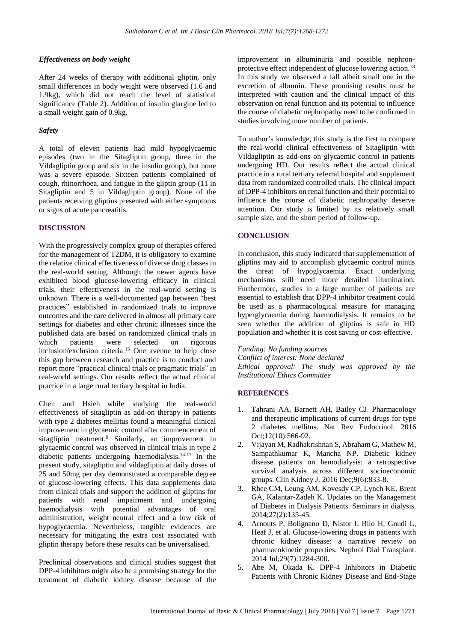# *Effectiveness on body weight*

After 24 weeks of therapy with additional gliptin, only small differences in body weight were observed (1.6 and 1.9kg), which did not reach the level of statistical significance (Table 2). Addition of insulin glargine led to a small weight gain of 0.9kg.

## *Safety*

A total of eleven patients had mild hypoglycaemic episodes (two in the Sitagliptin group, three in the Vildagliptin group and six in the insulin group), but none was a severe episode. Sixteen patients complained of cough, rhinorrhoea, and fatigue in the gliptin group (11 in Sitagliptin and 5 in Vildagliptin group). None of the patients receiving gliptins presented with either symptoms or signs of acute pancreatitis.

# **DISCUSSION**

With the progressively complex group of therapies offered for the management of T2DM, it is obligatory to examine the relative clinical effectiveness of diverse drug classes in the real-world setting. Although the newer agents have exhibited blood glucose-lowering efficacy in clinical trials, their effectiveness in the real-world setting is unknown. There is a well-documented gap between "best practices" established in randomized trials to improve outcomes and the care delivered in almost all primary care settings for diabetes and other chronic illnesses since the published data are based on randomized clinical trials in which patients were selected on rigorous inclusion/exclusion criteria. <sup>13</sup> One avenue to help close this gap between research and practice is to conduct and report more "practical clinical trials or pragmatic trials" in real-world settings. Our results reflect the actual clinical practice in a large rural tertiary hospital in India.

Chen and Hsieh while studying the real-world effectiveness of sitagliptin as add-on therapy in patients with type 2 diabetes mellitus found a meaningful clinical improvement in glycaemic control after commencement of sitagliptin treatment.<sup>9</sup> Similarly, an improvement in glycaemic control was observed in clinical trials in type 2 diabetic patients undergoing haemodialysis. 14-17 In the present study, sitagliptin and vildagliptin at daily doses of 25 and 50mg per day demonstrated a comparable degree of glucose-lowering effects. This data supplements data from clinical trials and support the addition of gliptins for patients with renal impairment and undergoing haemodialysis with potential advantages of oral administration, weight neutral effect and a low risk of hypoglycaemia. Nevertheless, tangible evidences are necessary for mitigating the extra cost associated with gliptin therapy before these results can be universalised.

Preclinical observations and clinical studies suggest that DPP-4 inhibitors might also be a promising strategy for the treatment of diabetic kidney disease because of the improvement in albuminuria and possible nephronprotective effect independent of glucose lowering action.<sup>18</sup> In this study we observed a fall albeit small one in the excretion of albumin. These promising results must be interpreted with caution and the clinical impact of this observation on renal function and its potential to influence the course of diabetic nephropathy need to be confirmed in studies involving more number of patients.

To author's knowledge, this study is the first to compare the real-world clinical effectiveness of Sitagliptin with Vildagliptin as add-ons on glycaemic control in patients undergoing HD. Our results reflect the actual clinical practice in a rural tertiary referral hospital and supplement data from randomized controlled trials. The clinical impact of DPP-4 inhibitors on renal function and their potential to influence the course of diabetic nephropathy deserve attention. Our study is limited by its relatively small sample size, and the short period of follow-up.

#### **CONCLUSION**

In conclusion, this study indicated that supplementation of gliptins may aid to accomplish glycaemic control minus the threat of hypoglycaemia. Exact underlying mechanisms still need more detailed illumination. Furthermore, studies in a large number of patients are essential to establish that DPP-4 inhibitor treatment could be used as a pharmacological measure for managing hyperglycaemia during haemodialysis. It remains to be seen whether the addition of gliptins is safe in HD population and whether it is cost saving or cost-effective.

*Funding: No funding sources Conflict of interest: None declared Ethical approval: The study was approved by the Institutional Ethics Committee*

#### **REFERENCES**

- 1. Tahrani AA, Barnett AH, Bailey CJ. Pharmacology and therapeutic implications of current drugs for type 2 diabetes mellitus. Nat Rev Endocrinol. 2016 Oct;12(10):566-92.
- 2. Vijayan M, Radhakrishnan S, Abraham G, Mathew M, Sampathkumar K, Mancha NP. Diabetic kidney disease patients on hemodialysis: a retrospective survival analysis across different socioeconomic groups. Clin Kidney J. 2016 Dec;9(6):833-8.
- 3. Rhee CM, Leung AM, Kovesdy CP, Lynch KE, Brent GA, Kalantar-Zadeh K. Updates on the Management of Diabetes in Dialysis Patients. Seminars in dialysis. 2014;27(2):135-45.
- 4. Arnouts P, Bolignano D, Nistor I, Bilo H, Gnudi L, Heaf J, et al. Glucose-lowering drugs in patients with chronic kidney disease: a narrative review on pharmacokinetic properties. Nephrol Dial Transplant. 2014 Jul;29(7):1284-300.
- 5. Abe M, Okada K. DPP-4 Inhibitors in Diabetic Patients with Chronic Kidney Disease and End-Stage